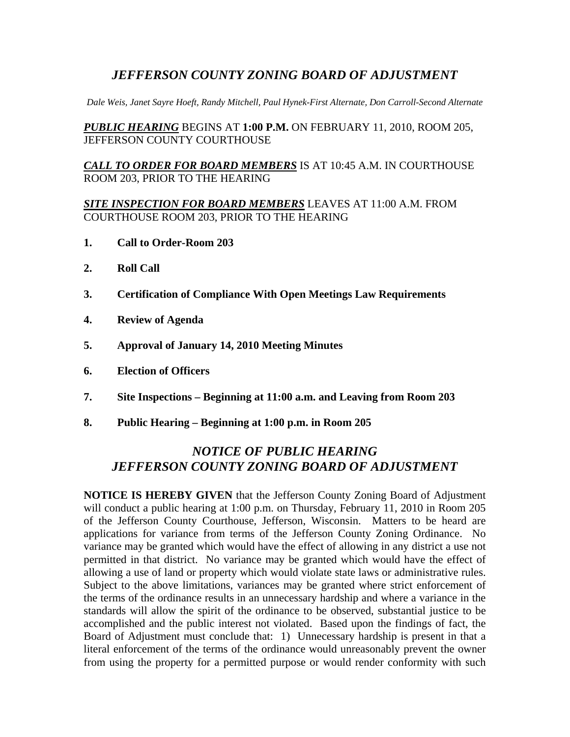# *JEFFERSON COUNTY ZONING BOARD OF ADJUSTMENT*

*Dale Weis, Janet Sayre Hoeft, Randy Mitchell, Paul Hynek-First Alternate, Don Carroll-Second Alternate* 

*PUBLIC HEARING* BEGINS AT **1:00 P.M.** ON FEBRUARY 11, 2010, ROOM 205, JEFFERSON COUNTY COURTHOUSE

*CALL TO ORDER FOR BOARD MEMBERS* IS AT 10:45 A.M. IN COURTHOUSE ROOM 203, PRIOR TO THE HEARING

### *SITE INSPECTION FOR BOARD MEMBERS* LEAVES AT 11:00 A.M. FROM COURTHOUSE ROOM 203, PRIOR TO THE HEARING

- **1. Call to Order-Room 203**
- **2. Roll Call**
- **3. Certification of Compliance With Open Meetings Law Requirements**
- **4. Review of Agenda**
- **5. Approval of January 14, 2010 Meeting Minutes**
- **6. Election of Officers**
- **7. Site Inspections Beginning at 11:00 a.m. and Leaving from Room 203**
- **8. Public Hearing Beginning at 1:00 p.m. in Room 205**

# *NOTICE OF PUBLIC HEARING JEFFERSON COUNTY ZONING BOARD OF ADJUSTMENT*

**NOTICE IS HEREBY GIVEN** that the Jefferson County Zoning Board of Adjustment will conduct a public hearing at 1:00 p.m. on Thursday, February 11, 2010 in Room 205 of the Jefferson County Courthouse, Jefferson, Wisconsin. Matters to be heard are applications for variance from terms of the Jefferson County Zoning Ordinance. No variance may be granted which would have the effect of allowing in any district a use not permitted in that district. No variance may be granted which would have the effect of allowing a use of land or property which would violate state laws or administrative rules. Subject to the above limitations, variances may be granted where strict enforcement of the terms of the ordinance results in an unnecessary hardship and where a variance in the standards will allow the spirit of the ordinance to be observed, substantial justice to be accomplished and the public interest not violated. Based upon the findings of fact, the Board of Adjustment must conclude that: 1) Unnecessary hardship is present in that a literal enforcement of the terms of the ordinance would unreasonably prevent the owner from using the property for a permitted purpose or would render conformity with such